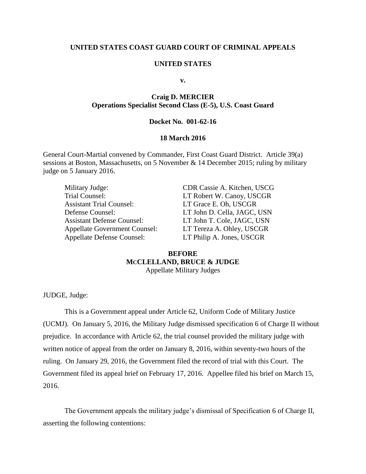### **UNITED STATES COAST GUARD COURT OF CRIMINAL APPEALS**

#### **UNITED STATES**

**v.**

## **Craig D. MERCIER Operations Specialist Second Class (E-5), U.S. Coast Guard**

### **Docket No. 001-62-16**

## **18 March 2016**

General Court-Martial convened by Commander, First Coast Guard District. Article 39(a) sessions at Boston, Massachusetts, on 5 November & 14 December 2015; ruling by military judge on 5 January 2016.

| Military Judge:                      |
|--------------------------------------|
| <b>Trial Counsel:</b>                |
| <b>Assistant Trial Counsel:</b>      |
| Defense Counsel:                     |
| <b>Assistant Defense Counsel:</b>    |
| <b>Appellate Government Counsel:</b> |
| <b>Appellate Defense Counsel:</b>    |

CDR Cassie A. Kitchen, USCG LT Robert W. Canoy, USCGR LT Grace E. Oh, USCGR LT John D. Cella, JAGC, USN LT John T. Cole, JAGC, USN LT Tereza A. Ohley, USCGR Appellate Defense Counsel: LT Philip A. Jones, USCGR

## **BEFORE MCCLELLAND, BRUCE & JUDGE** Appellate Military Judges

JUDGE, Judge:

This is a Government appeal under Article 62, Uniform Code of Military Justice (UCMJ). On January 5, 2016, the Military Judge dismissed specification 6 of Charge II without prejudice. In accordance with Article 62, the trial counsel provided the military judge with written notice of appeal from the order on January 8, 2016, within seventy-two hours of the ruling. On January 29, 2016, the Government filed the record of trial with this Court. The Government filed its appeal brief on February 17, 2016. Appellee filed his brief on March 15, 2016.

The Government appeals the military judge's dismissal of Specification 6 of Charge II, asserting the following contentions: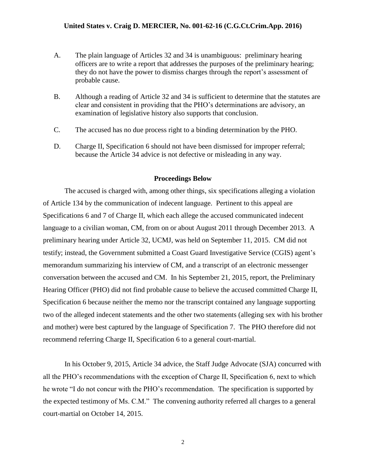- A. The plain language of Articles 32 and 34 is unambiguous: preliminary hearing officers are to write a report that addresses the purposes of the preliminary hearing; they do not have the power to dismiss charges through the report's assessment of probable cause.
- B. Although a reading of Article 32 and 34 is sufficient to determine that the statutes are clear and consistent in providing that the PHO's determinations are advisory, an examination of legislative history also supports that conclusion.
- C. The accused has no due process right to a binding determination by the PHO.
- D. Charge II, Specification 6 should not have been dismissed for improper referral; because the Article 34 advice is not defective or misleading in any way.

#### **Proceedings Below**

The accused is charged with, among other things, six specifications alleging a violation of Article 134 by the communication of indecent language. Pertinent to this appeal are Specifications 6 and 7 of Charge II, which each allege the accused communicated indecent language to a civilian woman, CM, from on or about August 2011 through December 2013. A preliminary hearing under Article 32, UCMJ, was held on September 11, 2015. CM did not testify; instead, the Government submitted a Coast Guard Investigative Service (CGIS) agent's memorandum summarizing his interview of CM, and a transcript of an electronic messenger conversation between the accused and CM. In his September 21, 2015, report, the Preliminary Hearing Officer (PHO) did not find probable cause to believe the accused committed Charge II, Specification 6 because neither the memo nor the transcript contained any language supporting two of the alleged indecent statements and the other two statements (alleging sex with his brother and mother) were best captured by the language of Specification 7. The PHO therefore did not recommend referring Charge II, Specification 6 to a general court-martial.

In his October 9, 2015, Article 34 advice, the Staff Judge Advocate (SJA) concurred with all the PHO's recommendations with the exception of Charge II, Specification 6, next to which he wrote "I do not concur with the PHO's recommendation. The specification is supported by the expected testimony of Ms. C.M." The convening authority referred all charges to a general court-martial on October 14, 2015.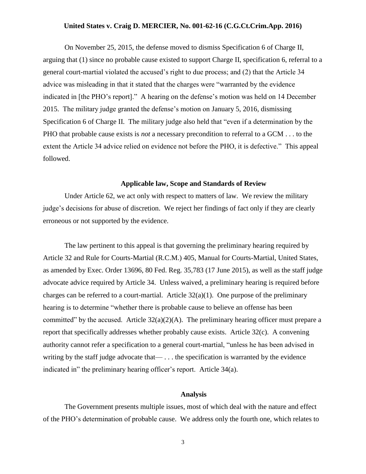On November 25, 2015, the defense moved to dismiss Specification 6 of Charge II, arguing that (1) since no probable cause existed to support Charge II, specification 6, referral to a general court-martial violated the accused's right to due process; and (2) that the Article 34 advice was misleading in that it stated that the charges were "warranted by the evidence indicated in [the PHO's report]." A hearing on the defense's motion was held on 14 December 2015. The military judge granted the defense's motion on January 5, 2016, dismissing Specification 6 of Charge II. The military judge also held that "even if a determination by the PHO that probable cause exists is *not* a necessary precondition to referral to a GCM . . . to the extent the Article 34 advice relied on evidence not before the PHO, it is defective." This appeal followed.

#### **Applicable law, Scope and Standards of Review**

Under Article 62, we act only with respect to matters of law. We review the military judge's decisions for abuse of discretion. We reject her findings of fact only if they are clearly erroneous or not supported by the evidence.

The law pertinent to this appeal is that governing the preliminary hearing required by Article 32 and Rule for Courts-Martial (R.C.M.) 405, Manual for Courts-Martial, United States, as amended by Exec. Order 13696, 80 Fed. Reg. 35,783 (17 June 2015), as well as the staff judge advocate advice required by Article 34. Unless waived, a preliminary hearing is required before charges can be referred to a court-martial. Article  $32(a)(1)$ . One purpose of the preliminary hearing is to determine "whether there is probable cause to believe an offense has been committed" by the accused. Article  $32(a)(2)(A)$ . The preliminary hearing officer must prepare a report that specifically addresses whether probably cause exists. Article 32(c). A convening authority cannot refer a specification to a general court-martial, "unless he has been advised in writing by the staff judge advocate that— . . . the specification is warranted by the evidence indicated in" the preliminary hearing officer's report. Article 34(a).

#### **Analysis**

The Government presents multiple issues, most of which deal with the nature and effect of the PHO's determination of probable cause. We address only the fourth one, which relates to

3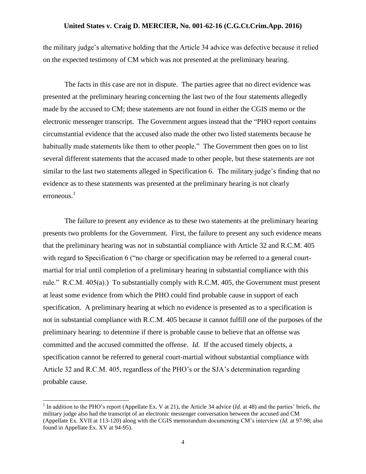the military judge's alternative holding that the Article 34 advice was defective because it relied on the expected testimony of CM which was not presented at the preliminary hearing.

The facts in this case are not in dispute. The parties agree that no direct evidence was presented at the preliminary hearing concerning the last two of the four statements allegedly made by the accused to CM; these statements are not found in either the CGIS memo or the electronic messenger transcript. The Government argues instead that the "PHO report contains circumstantial evidence that the accused also made the other two listed statements because he habitually made statements like them to other people." The Government then goes on to list several different statements that the accused made to other people, but these statements are not similar to the last two statements alleged in Specification 6. The military judge's finding that no evidence as to these statements was presented at the preliminary hearing is not clearly erroneous. 1

The failure to present any evidence as to these two statements at the preliminary hearing presents two problems for the Government. First, the failure to present any such evidence means that the preliminary hearing was not in substantial compliance with Article 32 and R.C.M. 405 with regard to Specification 6 ("no charge or specification may be referred to a general courtmartial for trial until completion of a preliminary hearing in substantial compliance with this rule." R.C.M. 405(a).) To substantially comply with R.C.M. 405, the Government must present at least some evidence from which the PHO could find probable cause in support of each specification. A preliminary hearing at which no evidence is presented as to a specification is not in substantial compliance with R.C.M. 405 because it cannot fulfill one of the purposes of the preliminary hearing: to determine if there is probable cause to believe that an offense was committed and the accused committed the offense. *Id.* If the accused timely objects, a specification cannot be referred to general court-martial without substantial compliance with Article 32 and R.C.M. 405, regardless of the PHO's or the SJA's determination regarding probable cause.

 $\overline{a}$ 

<sup>&</sup>lt;sup>1</sup> In addition to the PHO's report (Appellate Ex. V at 21), the Article 34 advice (*Id.* at 48) and the parties' briefs, the military judge also had the transcript of an electronic messenger conversation between the accused and CM (Appellate Ex. XVII at 113-120) along with the CGIS memorandum documenting CM's interview (*Id.* at 97-98; also found in Appellate Ex. XV at 94-95).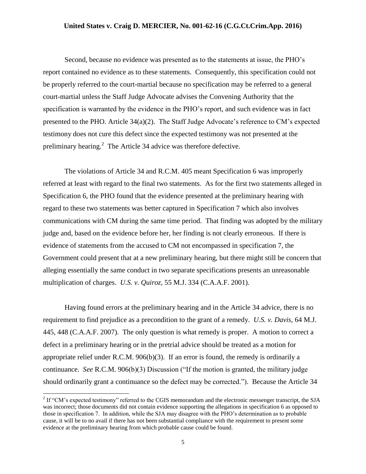Second, because no evidence was presented as to the statements at issue, the PHO's report contained no evidence as to these statements. Consequently, this specification could not be properly referred to the court-martial because no specification may be referred to a general court-martial unless the Staff Judge Advocate advises the Convening Authority that the specification is warranted by the evidence in the PHO's report, and such evidence was in fact presented to the PHO. Article 34(a)(2). The Staff Judge Advocate's reference to CM's expected testimony does not cure this defect since the expected testimony was not presented at the preliminary hearing. $2$  The Article 34 advice was therefore defective.

The violations of Article 34 and R.C.M. 405 meant Specification 6 was improperly referred at least with regard to the final two statements. As for the first two statements alleged in Specification 6, the PHO found that the evidence presented at the preliminary hearing with regard to these two statements was better captured in Specification 7 which also involves communications with CM during the same time period. That finding was adopted by the military judge and, based on the evidence before her, her finding is not clearly erroneous. If there is evidence of statements from the accused to CM not encompassed in specification 7, the Government could present that at a new preliminary hearing, but there might still be concern that alleging essentially the same conduct in two separate specifications presents an unreasonable multiplication of charges. *U.S. v. Quiroz*, 55 M.J. 334 (C.A.A.F. 2001).

Having found errors at the preliminary hearing and in the Article 34 advice, there is no requirement to find prejudice as a precondition to the grant of a remedy. *U.S. v. Davis*, 64 M.J. 445, 448 (C.A.A.F. 2007). The only question is what remedy is proper. A motion to correct a defect in a preliminary hearing or in the pretrial advice should be treated as a motion for appropriate relief under R.C.M. 906(b)(3). If an error is found, the remedy is ordinarily a continuance. *See* R.C.M. 906(b)(3) Discussion ("If the motion is granted, the military judge should ordinarily grant a continuance so the defect may be corrected."). Because the Article 34

<sup>&</sup>lt;sup>2</sup> If "CM's expected testimony" referred to the CGIS memorandum and the electronic messenger transcript, the SJA was incorrect; those documents did not contain evidence supporting the allegations in specification 6 as opposed to those in specification 7. In addition, while the SJA may disagree with the PHO's determination as to probable cause, it will be to no avail if there has not been substantial compliance with the requirement to present some evidence at the preliminary hearing from which probable cause could be found.